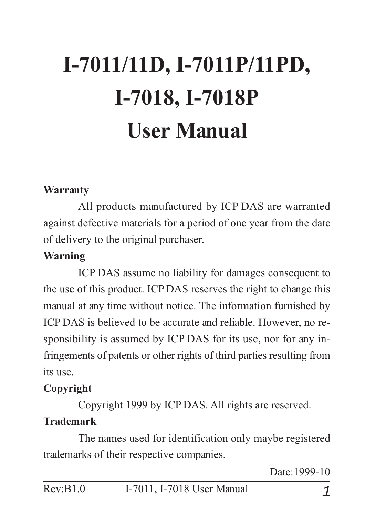# **I-7011/11D, I-7011P/11PD, I-7018, I-7018P User Manual**

#### **Warranty**

All products manufactured by ICP DAS are warranted against defective materials for a period of one year from the date of delivery to the original purchaser.

#### **Warning**

ICP DAS assume no liability for damages consequent to the use of this product. ICP DAS reserves the right to change this manual at any time without notice. The information furnished by ICP DAS is believed to be accurate and reliable. However, no responsibility is assumed by ICP DAS for its use, nor for any infringements of patents or other rights of third parties resulting from its use.

#### **Copyright**

Copyright 1999 by ICP DAS. All rights are reserved.

#### **Trademark**

The names used for identification only maybe registered trademarks of their respective companies.

Date:1999-10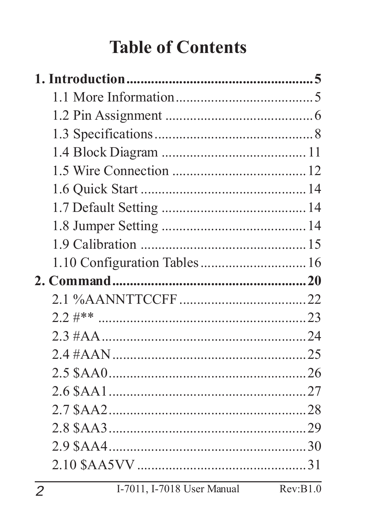### **Table of Contents**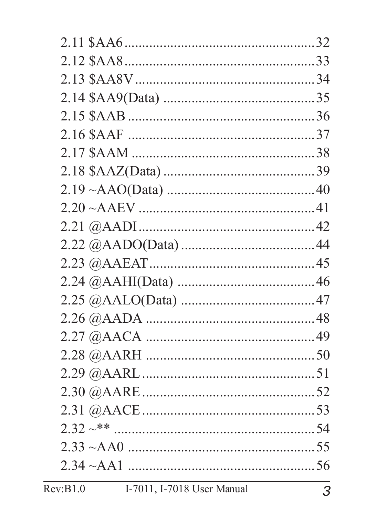| Rev:B1.0<br>I-7011, I-7018 User Manual | 3 |
|----------------------------------------|---|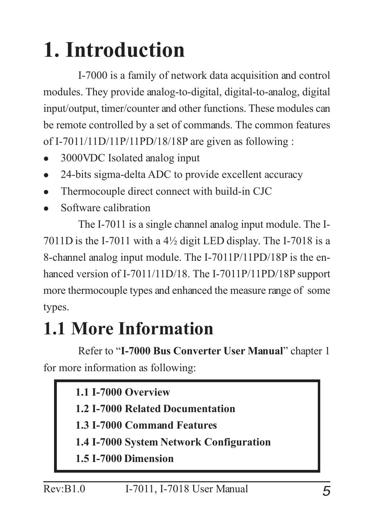# **1. Introduction**

I-7000 is a family of network data acquisition and control modules. They provide analog-to-digital, digital-to-analog, digital input/output, timer/counter and other functions. These modules can be remote controlled by a set of commands. The common features of I-7011/11D/11P/11PD/18/18P are given as following :

- <sup>z</sup> 3000VDC Isolated analog input
- 24-bits sigma-delta ADC to provide excellent accuracy
- Thermocouple direct connect with build-in CJC
- Software calibration

The I-7011 is a single channel analog input module. The I-7011D is the I-7011 with a 4½ digit LED display. The I-7018 is a 8-channel analog input module. The I-7011P/11PD/18P is the enhanced version of I-7011/11D/18. The I-7011P/11PD/18P support more thermocouple types and enhanced the measure range of some types.

### **1.1 More Information**

Refer to "**I-7000 Bus Converter User Manual**" chapter 1 for more information as following:

|  | <b>1.1 I-7000 Overview</b> |
|--|----------------------------|
|  |                            |

- **1.2 I-7000 Related Documentation**
- **1.3 I-7000 Command Features**
- **1.4 I-7000 System Network Configuration**
- **1.5 I-7000 Dimension**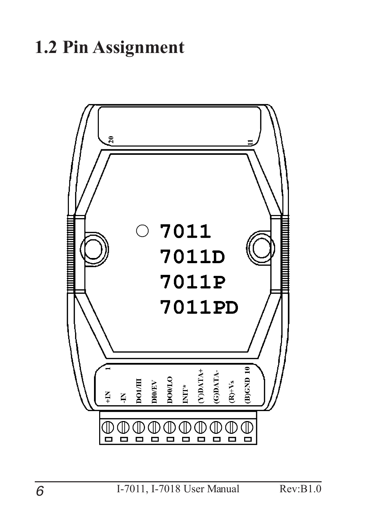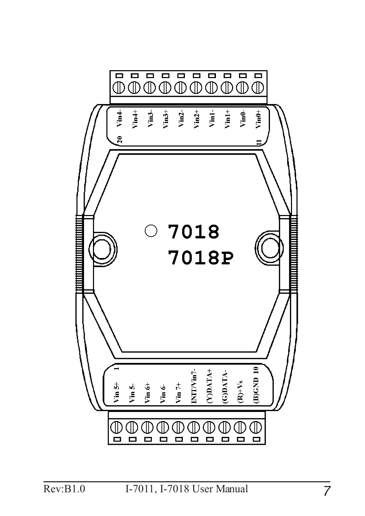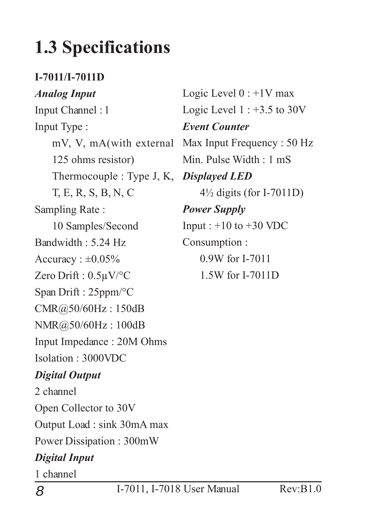### **1.3 Specifications**

#### **I-7011/I-7011D**

#### *Analog Input*

Input Channel : 1 Input Type : 125 ohms resistor) Thermocouple : Type J, K, *Displayed LED* T, E, R, S, B, N, C Sampling Rate : 10 Samples/Second Bandwidth : 5.24 Hz Accuracy :  $\pm 0.05\%$ Zero Drift : 0.5µV/°C Span Drift : 25ppm/°C CMR@50/60Hz : 150dB NMR@50/60Hz : 100dB Input Impedance : 20M Ohms Isolation : 3000VDC *Digital Output* 2 channel Open Collector to 30V

Output Load : sink 30mA max

Power Dissipation : 300mW

#### *Digital Input*

1 channel

mV, V, mA(with external Max Input Frequency : 50 Hz Logic Level  $0:+1V$  max Logic Level  $1: +3.5$  to 30V *Event Counter* Min. Pulse Width : 1 mS 4½ digits (for I-7011D) *Power Supply* Input :  $+10$  to  $+30$  VDC Consumption : 0.9W for I-7011 1.5W for I-7011D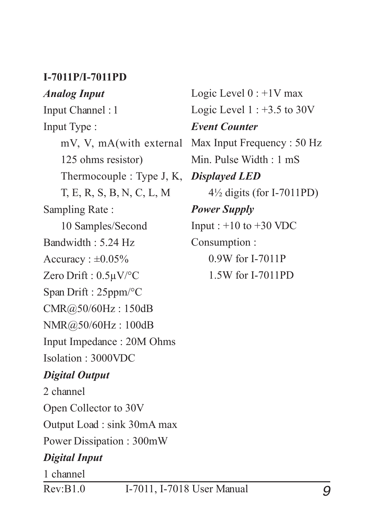#### **I-7011P/I-7011PD**

#### *Analog Input*

Input Channel : 1 Input Type : 125 ohms resistor) Thermocouple : Type J, K, T, E, R, S, B, N, C, L, M Sampling Rate : 10 Samples/Second Bandwidth : 5.24 Hz Accuracy :  $\pm 0.05\%$ Zero Drift : 0.5µV/°C Span Drift : 25ppm/°C CMR@50/60Hz : 150dB NMR@50/60Hz : 100dB Input Impedance : 20M Ohms Isolation : 3000VDC *Digital Output* 2 channel

Open Collector to 30V Output Load : sink 30mA max Power Dissipation : 300mW

#### *Digital Input*

1 channel

mV, V, mA(with external Max Input Frequency : 50 Hz Logic Level  $0:+1V$  max Logic Level  $1: +3.5$  to 30V *Event Counter* Min. Pulse Width : 1 mS *Displayed LED* 4½ digits (for I-7011PD) *Power Supply* Input :  $+10$  to  $+30$  VDC Consumption : 0.9W for I-7011P 1.5W for I-7011PD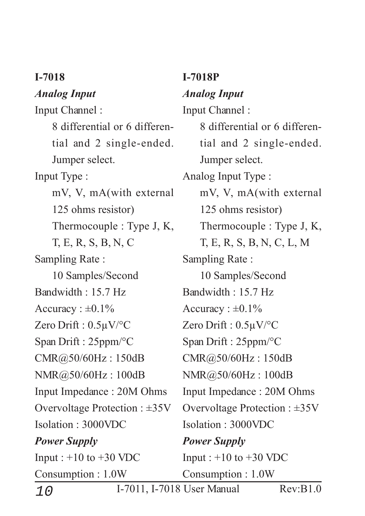#### **I-7018**

#### *Analog Input*

Input Channel : 8 differential or 6 differential and 2 single-ended. Jumper select. Input Type : mV, V, mA(with external 125 ohms resistor) Thermocouple : Type J, K, T, E, R, S, B, N, C Sampling Rate : 10 Samples/Second Bandwidth  $\cdot$  15.7 Hz Accuracy :  $\pm 0.1\%$ Zero Drift : 0.5µV/°C Span Drift : 25ppm/°C CMR@50/60Hz : 150dB NMR@50/60Hz : 100dB Input Impedance : 20M Ohms Overvoltage Protection : ±35V Isolation : 3000VDC *Power Supply* Input :  $+10$  to  $+30$  VDC Consumption : 1.0W

#### **I-7018P** *Analog Input* Input Channel : 8 differential or 6 differential and 2 single-ended. Jumper select. Analog Input Type : mV, V, mA(with external 125 ohms resistor) Thermocouple : Type J, K, T, E, R, S, B, N, C, L, M Sampling Rate : 10 Samples/Second Bandwidth  $\cdot$  15.7 Hz Accuracy :  $\pm 0.1\%$ Zero Drift : 0.5µV/°C

Span Drift : 25ppm/°C

CMR@50/60Hz : 150dB

NMR@50/60Hz : 100dB

Input Impedance : 20M Ohms

Overvoltage Protection : ±35V Isolation : 3000VDC

*Power Supply* Input :  $+10$  to  $+30$  VDC Consumption : 1.0W

10 I-7011, I-7018 User Manual Rev:B1.0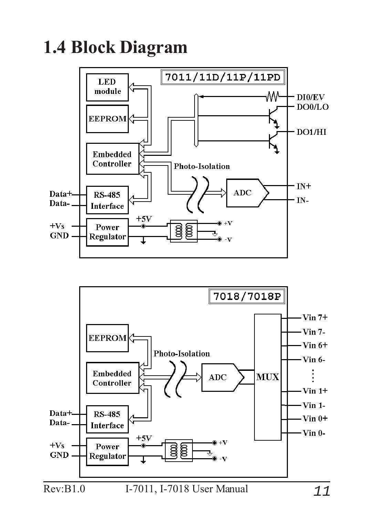**1.4 Block Diagram**



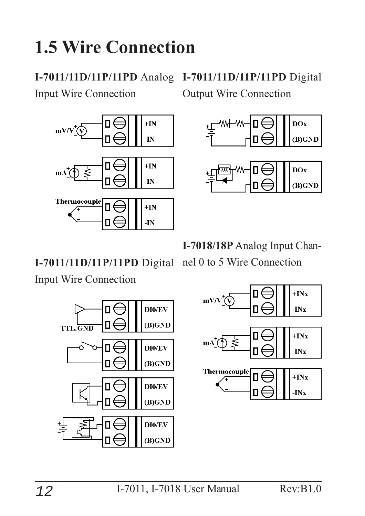### **1.5 Wire Connection**

Input Wire Connection



**I-7011/11D/11P/11PD** Analog **I-7011/11D/11P/11PD** Digital Output Wire Connection





**I-7018/18P** Analog Input Chan-

#### **I-7011/11D/11P/11PD** Digital

nel 0 to 5 Wire Connection

#### Input Wire Connection



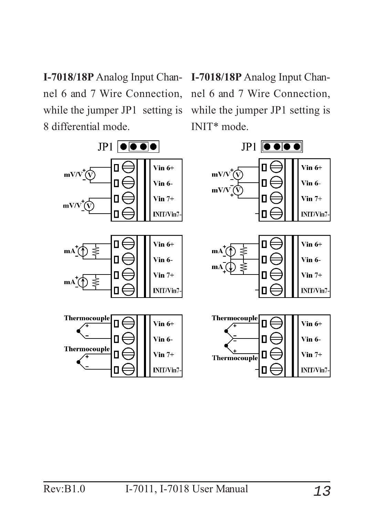**I-7018/18P** Analog Input Channel 6 and 7 Wire Connection, while the jumper JP1 setting is 8 differential mode.

**I-7018/18P** Analog Input Channel 6 and 7 Wire Connection, while the jumper JP1 setting is INIT\* mode.

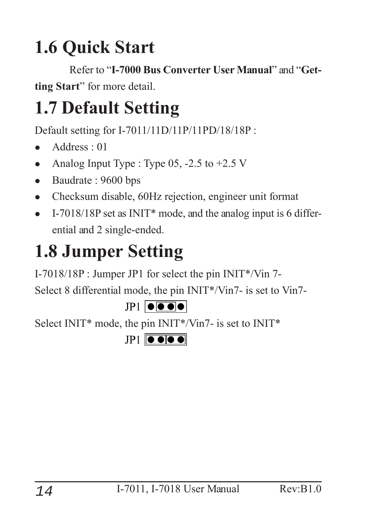### **1.6 Quick Start**

Refer to "**I-7000 Bus Converter User Manual**" and "**Getting Start**" for more detail.

### **1.7 Default Setting**

Default setting for I-7011/11D/11P/11PD/18/18P :

- Address  $\cdot$  01
- Analog Input Type : Type  $05$ ,  $-2.5$  to  $+2.5$  V
- Baudrate: 9600 bps
- Checksum disable, 60Hz rejection, engineer unit format
- <sup>z</sup> I-7018/18P set as INIT\* mode, and the analog input is 6 differential and 2 single-ended.

### **1.8 Jumper Setting**

I-7018/18P : Jumper JP1 for select the pin INIT\*/Vin 7-

Select 8 differential mode, the pin INIT\*/Vin7- is set to Vin7-



Select INIT\* mode, the pin INIT\*/Vin7- is set to INIT\*

 $IP1$   $\bullet \bullet \bullet \bullet$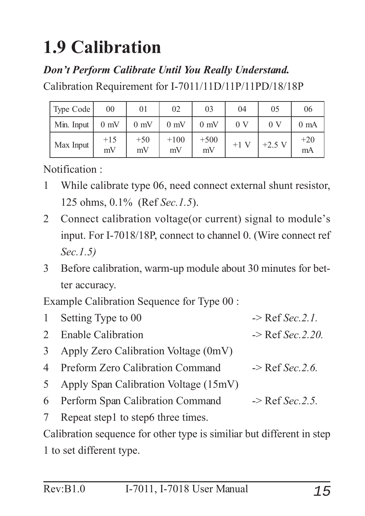### **1.9 Calibration**

#### *Don't Perform Calibrate Until You Really Understand.*

Calibration Requirement for I-7011/11D/11P/11PD/18/18P

| Type Code  | 00             | 01             | 02             | 03             | 04             | 05             | 06             |
|------------|----------------|----------------|----------------|----------------|----------------|----------------|----------------|
| Min. Input | $0 \text{ mV}$ | $0 \text{ mV}$ | $0 \text{ mV}$ | $0 \text{ mV}$ | 0 <sub>V</sub> | 0 <sub>V</sub> | $0 \text{ mA}$ |
| Max Input  | $+15$<br>mV    | $+50$<br>mV    | $+100$<br>mV   | $+500$<br>mV   | $+1$ V         | $+2.5$ V       | $+20$<br>mA    |

Notification :

- 1 While calibrate type 06, need connect external shunt resistor, 125 ohms, 0.1% (Ref *Sec.1.5*).
- 2 Connect calibration voltage(or current) signal to module's input. For I-7018/18P, connect to channel 0. (Wire connect ref *Sec.1.5)*
- 3 Before calibration, warm-up module about 30 minutes for better accuracy.

Example Calibration Sequence for Type 00 :

| 1 Setting Type to 00                    | $\rightarrow$ Ref Sec. 2.1.  |
|-----------------------------------------|------------------------------|
| 2 Enable Calibration                    | $\rightarrow$ Ref Sec. 2.20. |
| 3 Apply Zero Calibration Voltage (0mV)  |                              |
| 4 Preform Zero Calibration Command      | $\Rightarrow$ Ref Sec. 2.6.  |
| 5 Apply Span Calibration Voltage (15mV) |                              |
| 6 Perform Span Calibration Command      | $\rightarrow$ Ref Sec. 2.5.  |
| 7 Repeat step1 to step6 three times.    |                              |

Calibration sequence for other type is similiar but different in step 1 to set different type.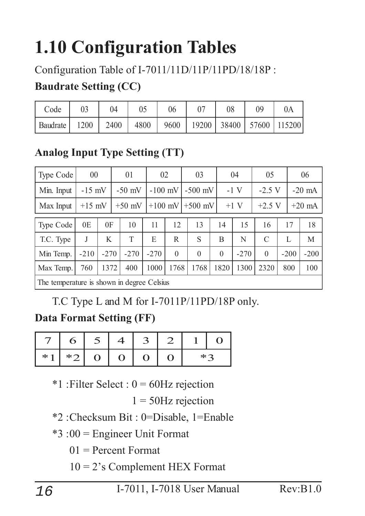### **1.10 Configuration Tables**

#### Configuration Table of I-7011/11D/11P/11PD/18/18P :

#### **Baudrate Setting (CC)**

| Code     |      | 04                                                  | 05 | 06 | 08 |  |
|----------|------|-----------------------------------------------------|----|----|----|--|
| Baudrate | 1200 | 2400   4800   9600   19200   38400   57600   115200 |    |    |    |  |

#### **Analog Input Type Setting (TT)**

| Type Code                                  | 00       |        | 01       | 02                     |             |                    | 03       |                     | 04     | 05             |          |          | 06     |          |
|--------------------------------------------|----------|--------|----------|------------------------|-------------|--------------------|----------|---------------------|--------|----------------|----------|----------|--------|----------|
| Min. Input                                 | $-15$ mV |        | $-50$ mV | $-100$ mV              |             |                    |          | $-1$ V<br>$-500$ mV |        |                | $-2.5$ V |          |        | $-20$ mA |
| Max Input                                  | $+15$ mV |        | $+50$ mV | $+100$ mV<br>$+500$ mV |             | $+1$ V<br>$+2.5$ V |          |                     |        |                |          | $+20$ mA |        |          |
| <b>Type Code</b>                           | 0E       | 0F     | 10       | 11                     | 12          |                    | 13       | 14                  | 15     | 16             |          | 17       | 18     |          |
| T.C. Type                                  | J        | K      | T        | E                      | $\mathbf R$ |                    | S        | B                   | N      | $\mathcal{C}$  |          | L        | M      |          |
| Min Temp.                                  | $-210$   | $-270$ | $-270$   | $-270$                 | $\theta$    |                    | $\theta$ | $\boldsymbol{0}$    | $-270$ | $\overline{0}$ |          | $-200$   | $-200$ |          |
| Max Temp.                                  | 760      | 1372   | 400      | 1000                   | 1768        |                    | 1768     | 1820                | 1300   | 2320           |          | 800      | 100    |          |
| The temperature is shown in degree Celsius |          |        |          |                        |             |                    |          |                     |        |                |          |          |        |          |

T.C Type L and M for I-7011P/11PD/18P only.

#### **Data Format Setting (FF)**

|     |      | ت ا         |                |     |               |  |
|-----|------|-------------|----------------|-----|---------------|--|
| * * | $*2$ | $\bullet$ O | $\blacksquare$ | I D | $*$ $\subset$ |  |

 $*1$ : Filter Select :  $0 = 60$ Hz rejection

 $1 = 50$ Hz rejection

\*2 :Checksum Bit : 0=Disable, 1=Enable

\*3 :00 = Engineer Unit Format

 $01$  = Percent Format

10 = 2's Complement HEX Format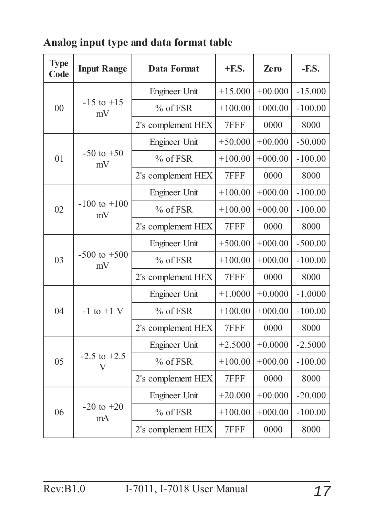| <b>Type</b><br>Code | <b>Input Range</b>     | Data Format          | $+$ <b>F.S.</b> | <b>Zero</b> | $-F.S.$   |
|---------------------|------------------------|----------------------|-----------------|-------------|-----------|
|                     |                        | Engineer Unit        | $+15.000$       | $+00.000$   | $-15.000$ |
| 00                  | $-15$ to $+15$<br>mV   | % of FSR             | $+100.00$       | $+000.00$   | $-100.00$ |
|                     |                        | 2's complement HEX   | 7FFF            | 0000        | 8000      |
|                     |                        | <b>Engineer Unit</b> | $+50.000$       | $+00.000$   | $-50.000$ |
| 01                  | $-50$ to $+50$<br>mV   | $%$ of FSR           | $+100.00$       | $+000.00$   | $-100.00$ |
|                     |                        | 2's complement HEX   | 7FFF            | 0000        | 8000      |
| 02                  |                        | Engineer Unit        | $+100.00$       | $+000.00$   | $-100.00$ |
|                     | $-100$ to $+100$<br>mV | % of FSR             | $+100.00$       | $+000.00$   | $-100.00$ |
|                     |                        | 2's complement HEX   | 7FFF            | 0000        | 8000      |
|                     | $-500$ to $+500$<br>mV | Engineer Unit        | $+500.00$       | $+000.00$   | $-500.00$ |
| 03                  |                        | % of FSR             | $+100.00$       | $+000.00$   | $-100.00$ |
|                     |                        | 2's complement HEX   | 7FFF            | 0000        | 8000      |
|                     |                        | Engineer Unit        | $+1.0000$       | $+0.0000$   | $-1.0000$ |
| 04                  | $-1$ to $+1$ V         | % of FSR             | $+100.00$       | $+000.00$   | $-100.00$ |
|                     |                        | 2's complement HEX   | 7FFF            | 0000        | 8000      |
|                     |                        | Engineer Unit        | $+2.5000$       | $+0.0000$   | $-2.5000$ |
| 05                  | $-2.5$ to $+2.5$<br>V  | $%$ of FSR           | $+100.00$       | $+000.00$   | $-100.00$ |
|                     |                        | 2's complement HEX   | 7FFF            | 0000        | 8000      |
|                     |                        | <b>Engineer Unit</b> | $+20.000$       | $+00.000$   | $-20.000$ |
| 06                  | $-20$ to $+20$<br>mA   | $%$ of FSR           | $+100.00$       | $+000.00$   | $-100.00$ |
|                     |                        | 2's complement HEX   | 7FFF            | 0000        | 8000      |

#### **Analog input type and data format table**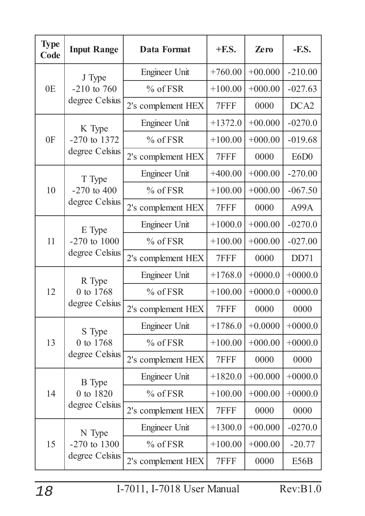| <b>Type</b><br>Code | <b>Input Range</b>                 | <b>Data Format</b> | $+$ <b>F.S.</b> | <b>Zero</b> | $-F.S.$           |
|---------------------|------------------------------------|--------------------|-----------------|-------------|-------------------|
|                     | J Type                             | Engineer Unit      | $+760.00$       | $+00.000$   | $-210.00$         |
| 0E                  | $-210$ to 760                      | % of FSR           | $+100.00$       | $+000.00$   | $-027.63$         |
|                     | degree Celsius                     | 2's complement HEX | 7FFF            | 0000        | DCA <sub>2</sub>  |
|                     | K Type                             | Engineer Unit      | $+1372.0$       | $+00.000$   | $-0270.0$         |
| 0F                  | $-270$ to 1372                     | % of FSR           | $+100.00$       | $+000.00$   | $-019.68$         |
|                     | degree Celsius                     | 2's complement HEX | 7FFF            | 0000        | E6D <sub>0</sub>  |
|                     | T Type                             | Engineer Unit      | $+400.00$       | $+000.00$   | $-270.00$         |
| 10                  | $-270$ to $400$                    | % of FSR           | $+100.00$       | $+000.00$   | $-067.50$         |
|                     | degree Celsius                     | 2's complement HEX | 7FFF            | 0000        | A99A              |
|                     | E Type                             | Engineer Unit      | $+1000.0$       | $+000.00$   | $-0270.0$         |
| 11                  | $-270$ to $1000$<br>degree Celsius | % of FSR           | $+100.00$       | $+000.00$   | $-027.00$         |
|                     |                                    | 2's complement HEX | 7FFF            | 0000        | DD71              |
|                     | R Type                             | Engineer Unit      | $+1768.0$       | $+0000.0$   | $+0000.0$         |
| 12                  | 0 to 1768                          | % of FSR           | $+100.00$       | $+0000.0$   | $+0000.0$         |
|                     | degree Celsius                     | 2's complement HEX | 7FFF            | 0000        | 0000              |
|                     | S Type                             | Engineer Unit      | $+1786.0$       | $+0.0000$   | $+0000.0$         |
| 13                  | 0 to 1768                          | % of FSR           | $+100.00$       | $+000.00$   | $+0000.0$         |
|                     | degree Celsius                     | 2's complement HEX | 7FFF            | 0000        | 0000              |
|                     | <b>B</b> Type                      | Engineer Unit      | $+1820.0$       | $+00.000$   | $+0000.0$         |
| 14                  | 0 to 1820                          | $%$ of FSR         | $+100.00$       | $+000.00$   | $+0000.0$         |
|                     | degree Celsius                     | 2's complement HEX | 7FFF            | 0000        | 0000              |
|                     | N Type                             | Engineer Unit      | $+1300.0$       | $+00.000$   | $-0270.0$         |
| 15                  | $-270$ to 1300                     | $%$ of FSR         | $+100.00$       | $+000.00$   | $-20.77$          |
|                     | degree Celsius                     | 2's complement HEX | 7FFF            | 0000        | E <sub>56</sub> B |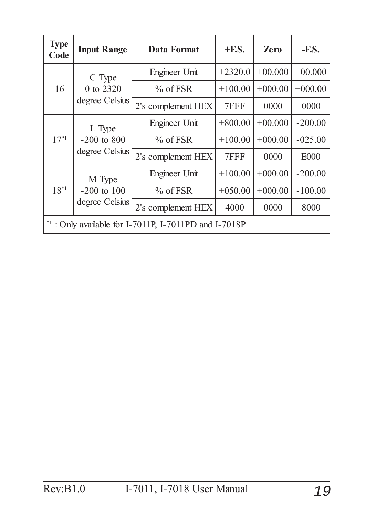| <b>Type</b><br>Code | <b>Input Range</b>                        | Data Format                                             | $+$ <b>F.S.</b> | <b>Zero</b> | $-F.S.$     |
|---------------------|-------------------------------------------|---------------------------------------------------------|-----------------|-------------|-------------|
| 16                  | C Type<br>0 to 2320<br>degree Celsius     | Engineer Unit                                           | $+2320.0$       | $+00.000$   | $+00.000$   |
|                     |                                           | $%$ of FSR                                              | $+100.00$       | $+000.00$   | $+000.00$   |
|                     |                                           | 2's complement HEX                                      | 7FFF            | 0000        | 0000        |
|                     | L Type<br>$-200$ to 800<br>degree Celsius | Engineer Unit                                           | $+800.00$       | $+00.000$   | $-200.00$   |
| $17^{*1}$           |                                           | $\%$ of FSR                                             | $+100.00$       | $+000.00$   | $-025.00$   |
|                     |                                           | 2's complement HEX                                      | 7FFF            | 0000        | <b>E000</b> |
|                     | M Type                                    | Engineer Unit                                           | $+100.00$       | $+000.00$   | $-200.00$   |
| $18^{*1}$           | $-200$ to $100$                           | $%$ of FSR                                              | $+050.00$       | $+000.00$   | $-100.00$   |
|                     | degree Celsius                            | 2's complement HEX                                      | 4000            | 0000        | 8000        |
|                     |                                           | $*1$ : Only available for I-7011P, I-7011PD and I-7018P |                 |             |             |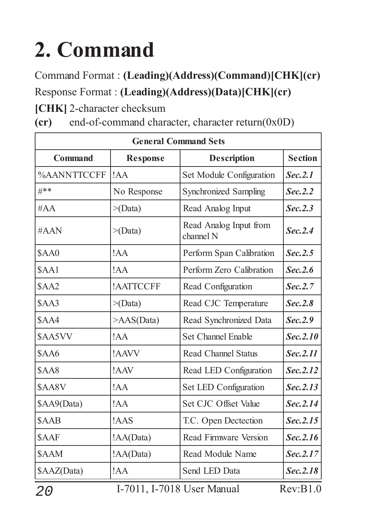# **2. Command**

Command Format : **(Leading)(Address)(Command)[CHK](cr)** Response Format : **(Leading)(Address)(Data)[CHK](cr)**

**[CHK]** 2-character checksum

**(cr)** end-of-command character, character return(0x0D)

| <b>General Command Sets</b> |                  |                                     |                |  |
|-----------------------------|------------------|-------------------------------------|----------------|--|
| <b>Command</b>              | <b>Response</b>  | <b>Description</b>                  | <b>Section</b> |  |
| %AANNTTCCFF                 | !AA              | <b>Set Module Configuration</b>     | Sec. 2.1       |  |
| #**                         | No Response      | <b>Synchronized Sampling</b>        | Sec. 2.2       |  |
| #AA                         | $>(\text{Data})$ | Read Analog Input                   | Sec. 2.3       |  |
| #AAN                        | $>(\text{Data})$ | Read Analog Input from<br>channel N | Sec. 2.4       |  |
| <b>\$AA0</b>                | !AA              | Perform Span Calibration            | Sec. 2.5       |  |
| \$AA1                       | !AA              | Perform Zero Calibration            | Sec. 2.6       |  |
| $\beta$ AA2                 | !AATTCCFF        | Read Configuration                  | Sec. 2.7       |  |
| $\text{SAA}$                | $>(\text{Data})$ | Read CJC Temperature                | Sec. 2.8       |  |
| \$AA4                       | >AAS(Data)       | Read Synchronized Data              | Sec. 2.9       |  |
| \$AA5VV                     | !AA              | <b>Set Channel Enable</b>           | Sec. 2.10      |  |
| $\delta$ AA6                | !AAVV            | <b>Read Channel Status</b>          | Sec. 2.11      |  |
| SAA8                        | !AAV             | Read LED Configuration              | Sec. 2.12      |  |
| \$AA8V                      | !AA              | <b>Set LED Configuration</b>        | Sec. 2.13      |  |
| $\text{SAA9}(Data)$         | !AA              | Set CJC Offset Value                | Sec. 2.14      |  |
| \$AAB                       | !AAS             | T.C. Open Dectection                | Sec. 2.15      |  |
| \$AAF                       | !AA(Data)        | <b>Read Firmware Version</b>        | Sec. 2.16      |  |
| \$AAM                       | !AA(Data)        | Read Module Name                    | Sec. 2.17      |  |
| \$AAZ(Data)                 | !AA              | Send LED Data                       | Sec. 2.18      |  |

20 I-7011, I-7018 User Manual Rev:B1.0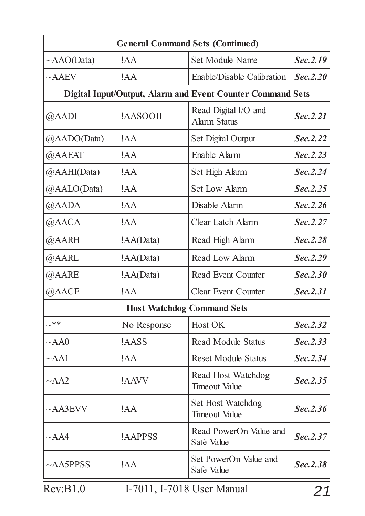| !AA<br>Set Module Name<br>$\sim$ AAO(Data)<br>$~\sim$ AAEV<br>Enable/Disable Calibration<br>!AA<br><b>Digital Input/Output, Alarm and Event Counter Command Sets</b><br>Read Digital I/O and<br>!AASOOII<br>@AADI<br><b>Alarm Status</b><br>@AADO(Data)<br><b>Set Digital Output</b><br>!AA<br>@AAEAT<br>!AA<br>Enable Alarm<br>@AAHI(Data)<br>!AA<br>Set High Alarm<br>@AALO(Data)<br><b>Set Low Alarm</b><br>!AA<br>Disable Alarm<br>@AADA<br>!AA<br>@AACA<br>!AA<br><b>Clear Latch Alarm</b><br>@AARH<br>!AA(Data)<br>Read High Alarm<br>@AARL<br>!AA(Data)<br>Read Low Alarm<br>!AA(Data)<br>@AARE<br>Read Event Counter<br>@AACE<br>!AA<br><b>Clear Event Counter</b><br><b>Host Watchdog Command Sets</b><br>$\sim$ **<br>No Response<br>Host OK<br>!AASS<br><b>Read Module Status</b><br>$~\sim$ AA0<br>!AA<br><b>Reset Module Status</b><br>$\sim$ AA1<br>Read Host Watchdog<br>!AAVV<br>$\sim$ AA2<br><b>Timeout Value</b><br><b>Set Host Watchdog</b><br>!AA<br>$~\sim$ AA3EVV<br><b>Timeout Value</b><br>Read PowerOn Value and<br>!AAPPSS<br>$~\sim$ AA4<br>Safe Value | <b>General Command Sets (Continued)</b> |  |  |           |  |  |
|------------------------------------------------------------------------------------------------------------------------------------------------------------------------------------------------------------------------------------------------------------------------------------------------------------------------------------------------------------------------------------------------------------------------------------------------------------------------------------------------------------------------------------------------------------------------------------------------------------------------------------------------------------------------------------------------------------------------------------------------------------------------------------------------------------------------------------------------------------------------------------------------------------------------------------------------------------------------------------------------------------------------------------------------------------------------------------|-----------------------------------------|--|--|-----------|--|--|
|                                                                                                                                                                                                                                                                                                                                                                                                                                                                                                                                                                                                                                                                                                                                                                                                                                                                                                                                                                                                                                                                                    |                                         |  |  | Sec. 2.19 |  |  |
|                                                                                                                                                                                                                                                                                                                                                                                                                                                                                                                                                                                                                                                                                                                                                                                                                                                                                                                                                                                                                                                                                    |                                         |  |  | Sec. 2.20 |  |  |
|                                                                                                                                                                                                                                                                                                                                                                                                                                                                                                                                                                                                                                                                                                                                                                                                                                                                                                                                                                                                                                                                                    |                                         |  |  |           |  |  |
|                                                                                                                                                                                                                                                                                                                                                                                                                                                                                                                                                                                                                                                                                                                                                                                                                                                                                                                                                                                                                                                                                    |                                         |  |  | Sec. 2.21 |  |  |
|                                                                                                                                                                                                                                                                                                                                                                                                                                                                                                                                                                                                                                                                                                                                                                                                                                                                                                                                                                                                                                                                                    |                                         |  |  | Sec. 2.22 |  |  |
|                                                                                                                                                                                                                                                                                                                                                                                                                                                                                                                                                                                                                                                                                                                                                                                                                                                                                                                                                                                                                                                                                    |                                         |  |  | Sec. 2.23 |  |  |
|                                                                                                                                                                                                                                                                                                                                                                                                                                                                                                                                                                                                                                                                                                                                                                                                                                                                                                                                                                                                                                                                                    |                                         |  |  | Sec. 2.24 |  |  |
|                                                                                                                                                                                                                                                                                                                                                                                                                                                                                                                                                                                                                                                                                                                                                                                                                                                                                                                                                                                                                                                                                    |                                         |  |  | Sec. 2.25 |  |  |
|                                                                                                                                                                                                                                                                                                                                                                                                                                                                                                                                                                                                                                                                                                                                                                                                                                                                                                                                                                                                                                                                                    |                                         |  |  | Sec. 2.26 |  |  |
|                                                                                                                                                                                                                                                                                                                                                                                                                                                                                                                                                                                                                                                                                                                                                                                                                                                                                                                                                                                                                                                                                    |                                         |  |  | Sec. 2.27 |  |  |
|                                                                                                                                                                                                                                                                                                                                                                                                                                                                                                                                                                                                                                                                                                                                                                                                                                                                                                                                                                                                                                                                                    |                                         |  |  | Sec. 2.28 |  |  |
|                                                                                                                                                                                                                                                                                                                                                                                                                                                                                                                                                                                                                                                                                                                                                                                                                                                                                                                                                                                                                                                                                    |                                         |  |  | Sec. 2.29 |  |  |
|                                                                                                                                                                                                                                                                                                                                                                                                                                                                                                                                                                                                                                                                                                                                                                                                                                                                                                                                                                                                                                                                                    |                                         |  |  | Sec. 2.30 |  |  |
|                                                                                                                                                                                                                                                                                                                                                                                                                                                                                                                                                                                                                                                                                                                                                                                                                                                                                                                                                                                                                                                                                    |                                         |  |  | Sec. 2.31 |  |  |
|                                                                                                                                                                                                                                                                                                                                                                                                                                                                                                                                                                                                                                                                                                                                                                                                                                                                                                                                                                                                                                                                                    |                                         |  |  |           |  |  |
|                                                                                                                                                                                                                                                                                                                                                                                                                                                                                                                                                                                                                                                                                                                                                                                                                                                                                                                                                                                                                                                                                    |                                         |  |  | Sec. 2.32 |  |  |
|                                                                                                                                                                                                                                                                                                                                                                                                                                                                                                                                                                                                                                                                                                                                                                                                                                                                                                                                                                                                                                                                                    |                                         |  |  | Sec. 2.33 |  |  |
|                                                                                                                                                                                                                                                                                                                                                                                                                                                                                                                                                                                                                                                                                                                                                                                                                                                                                                                                                                                                                                                                                    |                                         |  |  | Sec. 2.34 |  |  |
|                                                                                                                                                                                                                                                                                                                                                                                                                                                                                                                                                                                                                                                                                                                                                                                                                                                                                                                                                                                                                                                                                    |                                         |  |  | Sec. 2.35 |  |  |
|                                                                                                                                                                                                                                                                                                                                                                                                                                                                                                                                                                                                                                                                                                                                                                                                                                                                                                                                                                                                                                                                                    |                                         |  |  | Sec. 2.36 |  |  |
|                                                                                                                                                                                                                                                                                                                                                                                                                                                                                                                                                                                                                                                                                                                                                                                                                                                                                                                                                                                                                                                                                    |                                         |  |  | Sec. 2.37 |  |  |
| Set PowerOn Value and<br>!AA<br>$~\sim$ AA5PPSS<br>Safe Value                                                                                                                                                                                                                                                                                                                                                                                                                                                                                                                                                                                                                                                                                                                                                                                                                                                                                                                                                                                                                      |                                         |  |  | Sec. 2.38 |  |  |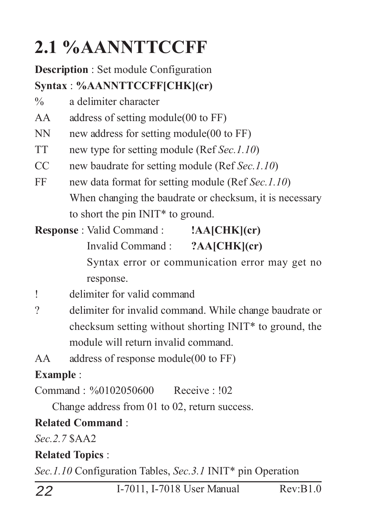### **2.1 %AANNTTCCFF**

#### **Description** : Set module Configuration **Syntax** : **%AANNTTCCFF[CHK](cr)**

- % a delimiter character
- AA address of setting module(00 to FF)
- NN new address for setting module(00 to FF)
- TT new type for setting module (Ref *Sec.1.10*)
- CC new baudrate for setting module (Ref *Sec.1.10*)
- FF new data format for setting module (Ref *Sec.1.10*) When changing the baudrate or checksum, it is necessary to short the pin INIT\* to ground.

**Response** : Valid Command : **!AA[CHK](cr)** Invalid Command : **?AA[CHK](cr)** Syntax error or communication error may get no response.

- ! delimiter for valid command
- ? delimiter for invalid command. While change baudrate or checksum setting without shorting INIT\* to ground, the module will return invalid command.
- AA address of response module(00 to FF)

#### **Example** :

Command : %0102050600 Receive : !02

Change address from 01 to 02, return success.

#### **Related Command** :

*Sec.2.7* \$AA2

#### **Related Topics** :

*Sec.1.10* Configuration Tables, *Sec.3.1* INIT\* pin Operation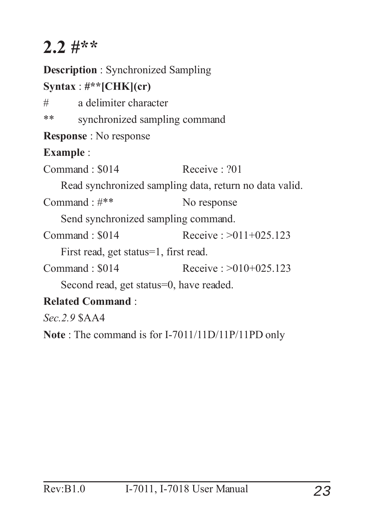### **2.2 #\*\***

**Description** : Synchronized Sampling **Syntax** : **#\*\*[CHK](cr)** # a delimiter character \*\* synchronized sampling command **Response** : No response **Example** :  $Common<sub>1</sub> \cdot $014$  Receive  $.201$ Read synchronized sampling data, return no data valid. Command :  $\#$ \*\* No response Send synchronized sampling command. Command : \$014 Receive : >011+025.123 First read, get status=1, first read.  $Commonad \cdot $014$  Receive  $\cdot > 010 + 025123$ Second read, get status=0, have readed. **Related Command** : *Sec.2.9* \$AA4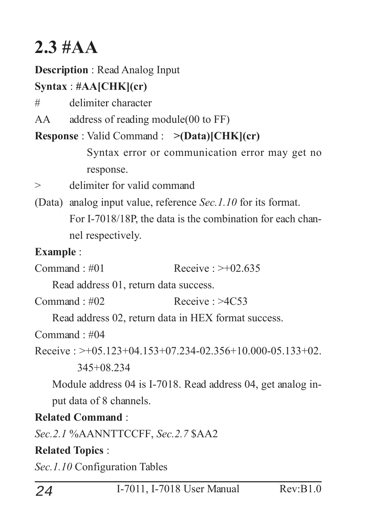### **2.3 #AA**

#### **Description** : Read Analog Input

#### **Syntax** : **#AA[CHK](cr)**

# delimiter character

AA address of reading module(00 to FF)

#### **Response** : Valid Command : **>(Data)[CHK](cr)**

Syntax error or communication error may get no response.

- > delimiter for valid command
- (Data) analog input value, reference *Sec.1.10* for its format. For I-7018/18P, the data is the combination for each channel respectively.

#### **Example** :

Command  $\pm 401$  Receive  $\rightarrow +02.635$ 

Read address 01, return data success.

 $Common and  $\pm 02$  *Receive*  $\pm 2C53$$ 

Read address 02, return data in HEX format success.

Command  $\cdot \text{\#}04$ 

Receive :  $>+05.123+04.153+07.234-02.356+10.000-05.133+02$ .

345+08.234

Module address 04 is I-7018. Read address 04, get analog input data of 8 channels.

#### **Related Command** :

*Sec.2.1* %AANNTTCCFF, *Sec.2.7* \$AA2

#### **Related Topics** :

*Sec.1.10* Configuration Tables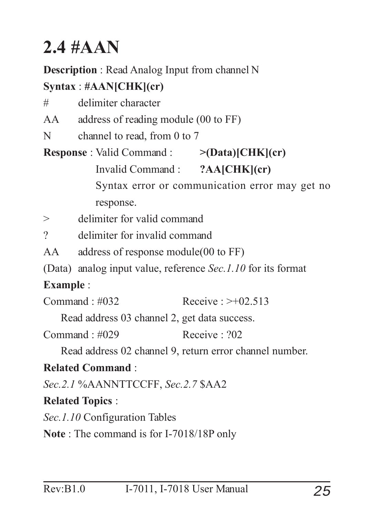### **2.4 #AAN**

**Description** : Read Analog Input from channel N

#### **Syntax** : **#AAN[CHK](cr)**

# delimiter character

AA address of reading module (00 to FF)

N channel to read, from 0 to 7

**Response** : Valid Command : **>(Data)[CHK](cr)** Invalid Command : **?AA[CHK](cr)** Syntax error or communication error may get no response.

> delimiter for valid command

? delimiter for invalid command

AA address of response module(00 to FF)

(Data) analog input value, reference *Sec.1.10* for its format

#### **Example** :

 $Commonard \cdot #032$  Receive  $\rightarrow +02.513$ 

Read address 03 channel 2, get data success.

 $Common<sub>1</sub> #029$  Receive  $.202$ 

Read address 02 channel 9, return error channel number.

#### **Related Command** :

*Sec.2.1* %AANNTTCCFF, *Sec.2.7* \$AA2

#### **Related Topics** :

*Sec.1.10* Configuration Tables

**Note** : The command is for I-7018/18P only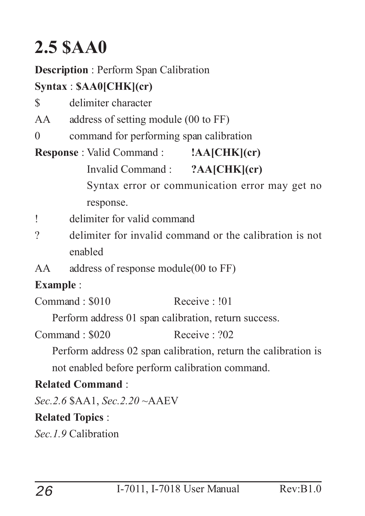### **2.5 \$AA0**

#### **Description** : Perform Span Calibration

#### **Syntax** : **\$AA0[CHK](cr)**

- \$ delimiter character
- AA address of setting module (00 to FF)
- 0 command for performing span calibration

#### **Response** : Valid Command : **!AA[CHK](cr)** Invalid Command : **?AA[CHK](cr)** Syntax error or communication error may get no response.

- ! delimiter for valid command
- ? delimiter for invalid command or the calibration is not enabled
- AA address of response module(00 to FF)

#### **Example** :

Command : \$010 Receive : !01

Perform address 01 span calibration, return success.

 $Commonard \cdot $020$  Receive  $.202$ 

Perform address 02 span calibration, return the calibration is not enabled before perform calibration command.

#### **Related Command** :

*Sec.2.6* \$AA1, *Sec.2.20* ~AAEV

#### **Related Topics** :

*Sec.1.9* Calibration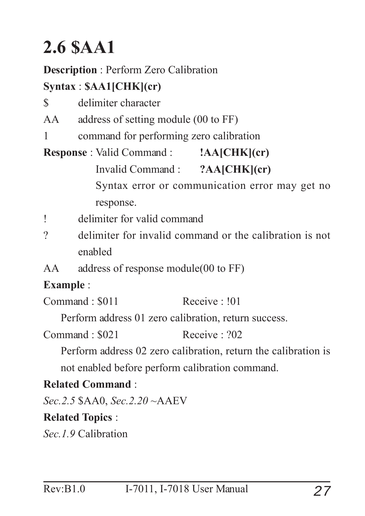### **2.6 \$AA1**

#### **Description** : Perform Zero Calibration

#### **Syntax** : **\$AA1[CHK](cr)**

- \$ delimiter character
- AA address of setting module (00 to FF)
- 1 command for performing zero calibration

**Response** : Valid Command : **!AA[CHK](cr)** Invalid Command : **?AA[CHK](cr)** Syntax error or communication error may get no response.

- ! delimiter for valid command
- ? delimiter for invalid command or the calibration is not enabled
- AA address of response module(00 to FF)

#### **Example** :

Command : \$011 Receive : !01

Perform address 01 zero calibration, return success.

 $Common<sub>1</sub>$   $$021$  Receive  $.202$ 

Perform address 02 zero calibration, return the calibration is not enabled before perform calibration command.

#### **Related Command** :

*Sec.2.5* \$AA0, *Sec.2.20* ~AAEV

#### **Related Topics** :

*Sec.1.9* Calibration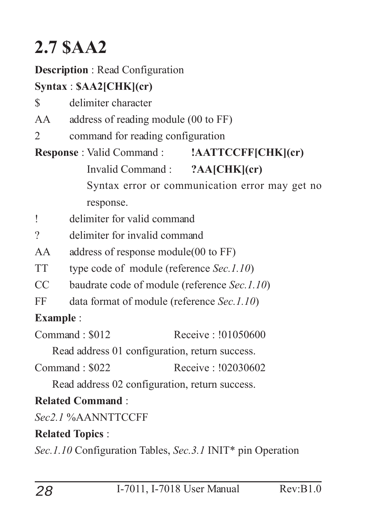### **2.7 \$AA2**

#### **Description** : Read Configuration

#### **Syntax** : **\$AA2[CHK](cr)**

- \$ delimiter character
- AA address of reading module (00 to FF)
- 2 command for reading configuration

#### **Response** : Valid Command : **!AATTCCFF[CHK](cr)** Invalid Command : **?AA[CHK](cr)** Syntax error or communication error may get no response.

- ! delimiter for valid command
- ? delimiter for invalid command
- AA address of response module(00 to FF)
- TT type code of module (reference *Sec.1.10*)
- CC baudrate code of module (reference *Sec.1.10*)
- FF data format of module (reference *Sec.1.10*)

#### **Example** :

 $Common<sub>1</sub> \cdot $012$  Receive  $\cdot 101050600$ 

Read address 01 configuration, return success.

Command : \$022 Receive : !02030602

Read address 02 configuration, return success.

#### **Related Command** :

*Sec2.1* %AANNTTCCFF

#### **Related Topics** :

*Sec.1.10* Configuration Tables, *Sec.3.1* INIT\* pin Operation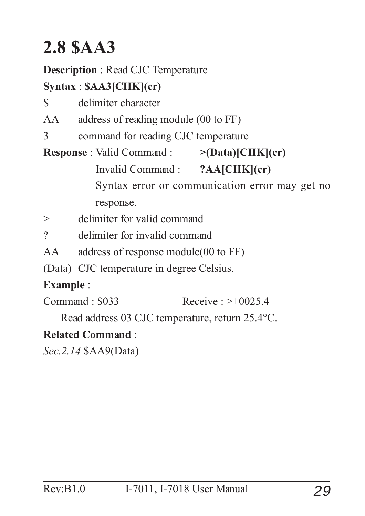### **2.8 \$AA3**

**Description** : Read CJC Temperature

#### **Syntax** : **\$AA3[CHK](cr)**

- \$ delimiter character
- AA address of reading module (00 to FF)
- 3 command for reading CJC temperature

**Response** : Valid Command : **>(Data)[CHK](cr)** Invalid Command : **?AA[CHK](cr)** Syntax error or communication error may get no response. > delimiter for valid command

- ? delimiter for invalid command
- AA address of response module(00 to FF)
- (Data) CJC temperature in degree Celsius.

#### **Example** :

Command : \$033 Receive : >+0025.4

Read address 03 CJC temperature, return 25.4°C.

#### **Related Command** :

*Sec.2.14* \$AA9(Data)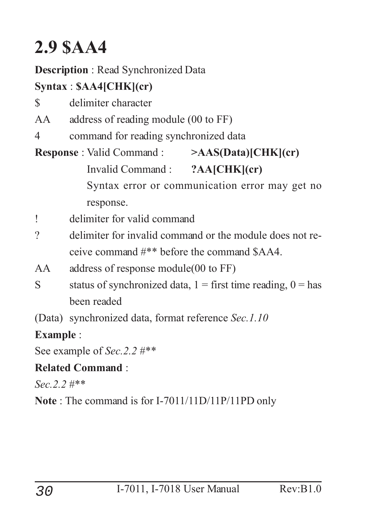### **2.9 \$AA4**

#### **Description** : Read Synchronized Data

#### **Syntax** : **\$AA4[CHK](cr)**

- \$ delimiter character
- AA address of reading module (00 to FF)
- 4 command for reading synchronized data

#### **Response** : Valid Command : **>AAS(Data)[CHK](cr)** Invalid Command : **?AA[CHK](cr)** Syntax error or communication error may get no response.

- ! delimiter for valid command
- ? delimiter for invalid command or the module does not receive command #\*\* before the command \$AA4.
- AA address of response module(00 to FF)
- S status of synchronized data,  $1 =$  first time reading,  $0 =$  has been readed
- (Data) synchronized data, format reference *Sec.1.10*

#### **Example** :

See example of *Sec.2.2* #\*\*

#### **Related Command** :

*Sec.2.2* #\*\*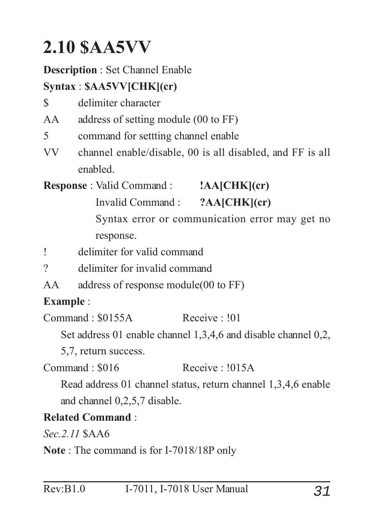### **2.10 \$AA5VV**

#### **Description** : Set Channel Enable

#### **Syntax** : **\$AA5VV[CHK](cr)**

- \$ delimiter character
- AA address of setting module (00 to FF)
- 5 command for settting channel enable
- VV channel enable/disable, 00 is all disabled, and FF is all enabled.

**Response** : Valid Command : **!AA[CHK](cr)**

Invalid Command : **?AA[CHK](cr)**

Syntax error or communication error may get no response.

- ! delimiter for valid command
- ? delimiter for invalid command
- AA address of response module(00 to FF)

#### **Example** :

Command : \$0155A Receive : !01

Set address 01 enable channel 1,3,4,6 and disable channel 0,2,

5,7, return success.

Command : \$016 Receive : !015A

Read address 01 channel status, return channel 1,3,4,6 enable and channel 0,2,5,7 disable.

#### **Related Command** :

*Sec.2.11* \$AA6

**Note** : The command is for I-7018/18P only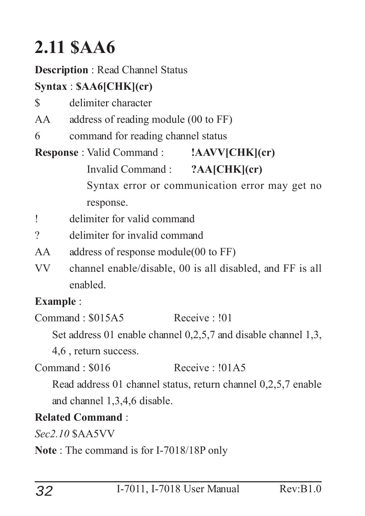### **2.11 \$AA6**

#### **Description** : Read Channel Status

#### **Syntax** : **\$AA6[CHK](cr)**

- \$ delimiter character
- AA address of reading module (00 to FF)
- 6 command for reading channel status

#### **Response** : Valid Command : **!AAVV[CHK](cr)** Invalid Command : **?AA[CHK](cr)** Syntax error or communication error may get no response.

- ! delimiter for valid command
- ? delimiter for invalid command
- AA address of response module(00 to FF)
- VV channel enable/disable, 00 is all disabled, and FF is all enabled.

#### **Example** :

Command : \$015A5 Receive : !01

Set address 01 enable channel 0,2,5,7 and disable channel 1,3,

4,6 , return success.

 $Common<sub>1</sub> \cdot $016$  Receive :  $101A5$ 

Read address 01 channel status, return channel 0,2,5,7 enable and channel 1,3,4,6 disable.

#### **Related Command** :

*Sec2.10* \$AA5VV

**Note** : The command is for I-7018/18P only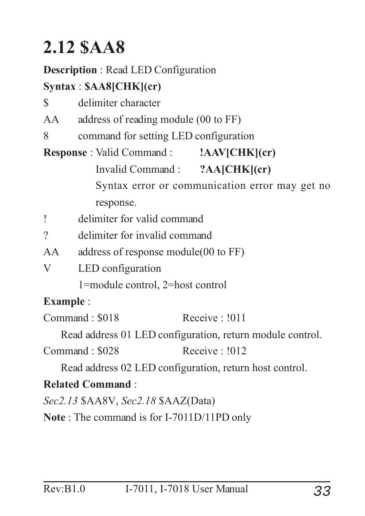### **2.12 \$AA8**

#### **Description** : Read LED Configuration

#### **Syntax** : **\$AA8[CHK](cr)**

- \$ delimiter character
- AA address of reading module (00 to FF)
- 8 command for setting LED configuration

**Response** : Valid Command : **!AAV[CHK](cr)** Invalid Command : **?AA[CHK](cr)** Syntax error or communication error may get no response.

- ! delimiter for valid command
- ? delimiter for invalid command
- AA address of response module(00 to FF)
- V LED configuration

1=module control, 2=host control

#### **Example** :

Command : \$018 Receive : !011

Read address 01 LED configuration, return module control.

Command : \$028 Receive : !012

Read address 02 LED configuration, return host control.

#### **Related Command** :

*Sec2.13* \$AA8V, *Sec2.18* \$AAZ(Data)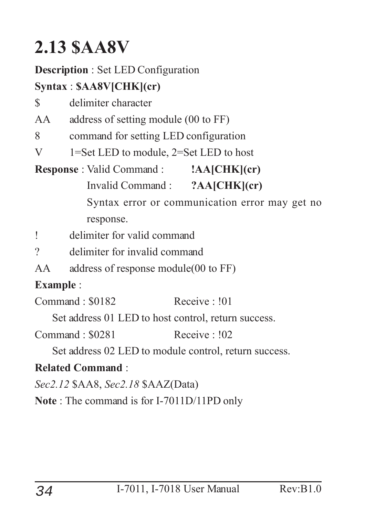### **2.13 \$AA8V**

#### **Description** : Set LED Configuration

#### **Syntax** : **\$AA8V[CHK](cr)**

\$ delimiter character

AA address of setting module (00 to FF)

8 command for setting LED configuration

V 1=Set LED to module, 2=Set LED to host

**Response** : Valid Command : **!AA[CHK](cr)**

Invalid Command : **?AA[CHK](cr)**

Syntax error or communication error may get no response.

! delimiter for valid command

? delimiter for invalid command

AA address of response module(00 to FF)

#### **Example** :

Command : \$0182 Receive : !01

Set address 01 LED to host control, return success.

Command : \$0281 Receive : !02

Set address 02 LED to module control, return success.

#### **Related Command** :

*Sec2.12* \$AA8, *Sec2.18* \$AAZ(Data)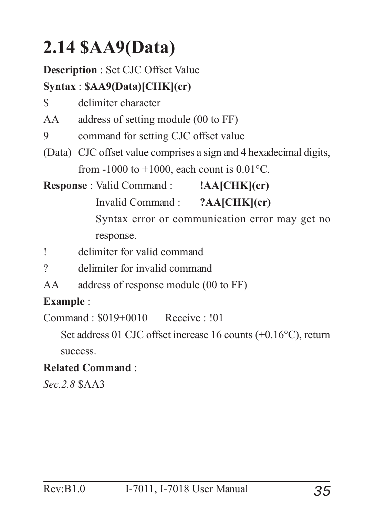### **2.14 \$AA9(Data)**

#### **Description** : Set CJC Offset Value

#### **Syntax** : **\$AA9(Data)[CHK](cr)**

- \$ delimiter character
- AA address of setting module (00 to FF)
- 9 command for setting CJC offset value
- (Data) CJC offset value comprises a sign and 4 hexadecimal digits, from  $-1000$  to  $+1000$ , each count is  $0.01^{\circ}$ C.

**Response** : Valid Command : **!AA[CHK](cr)** Invalid Command : **?AA[CHK](cr)** Syntax error or communication error may get no response.

- ! delimiter for valid command
- ? delimiter for invalid command
- AA address of response module (00 to FF)

#### **Example** :

Command : \$019+0010 Receive : !01

Set address 01 CJC offset increase 16 counts (+0.16°C), return success.

#### **Related Command** :

*Sec.2.8* \$AA3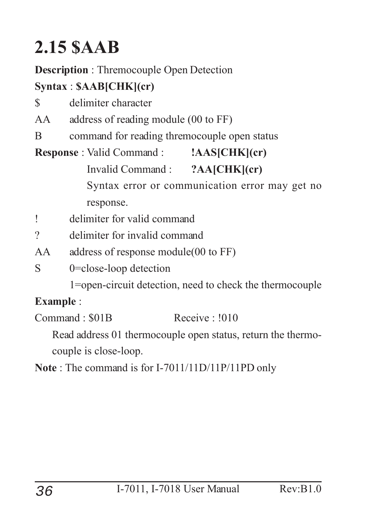### **2.15 \$AAB**

#### **Description** : Thremocouple Open Detection

#### **Syntax** : **\$AAB[CHK](cr)**

- \$ delimiter character
- AA address of reading module (00 to FF)
- B command for reading thremocouple open status

#### **Response** : Valid Command : **!AAS[CHK](cr)** Invalid Command : **?AA[CHK](cr)** Syntax error or communication error may get no response.

- ! delimiter for valid command
- ? delimiter for invalid command
- AA address of response module(00 to FF)
- S 0=close-loop detection
	- 1=open-circuit detection, need to check the thermocouple

#### **Example** :

Command : \$01B Receive : !010

Read address 01 thermocouple open status, return the thermocouple is close-loop.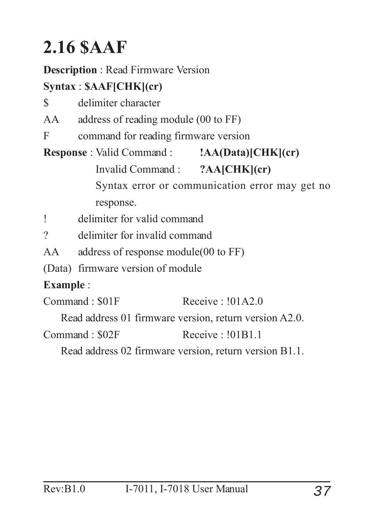### **2.16 \$AAF**

**Description** : Read Firmware Version

#### **Syntax** : **\$AAF[CHK](cr)**

- \$ delimiter character
- AA address of reading module (00 to FF)
- F command for reading firmware version

**Response** : Valid Command : **!AA(Data)[CHK](cr)** Invalid Command : **?AA[CHK](cr)** Syntax error or communication error may get no response.

! delimiter for valid command

? delimiter for invalid command

AA address of response module(00 to FF)

(Data) firmware version of module

#### **Example** :

Command : \$01F Receive : !01A2.0

Read address 01 firmware version, return version A2.0.

Command : \$02F Receive : 101B1.1

Read address 02 firmware version, return version B1.1.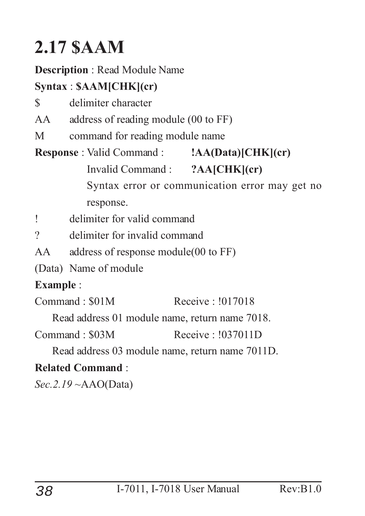### **2.17 \$AAM**

#### **Description** : Read Module Name

#### **Syntax** : **\$AAM[CHK](cr)**

- \$ delimiter character
- AA address of reading module (00 to FF)
- M command for reading module name

#### **Response** : Valid Command : **!AA(Data)[CHK](cr)** Invalid Command : **?AA[CHK](cr)** Syntax error or communication error may get no response.

- ! delimiter for valid command
- ? delimiter for invalid command
- AA address of response module(00 to FF)
- (Data) Name of module

#### **Example** :

Command : \$01M Receive : !017018

Read address 01 module name, return name 7018.

Command : \$03M Receive : !037011D

Read address 03 module name, return name 7011D.

#### **Related Command** :

*Sec.2.19* ~AAO(Data)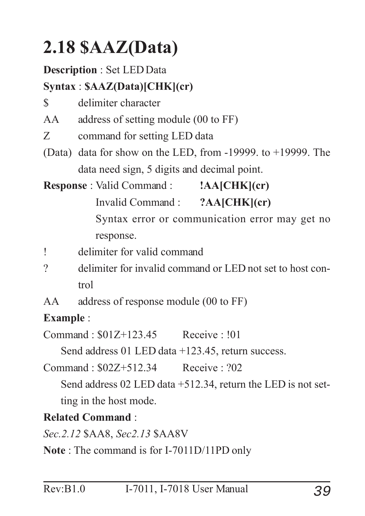### **2.18 \$AAZ(Data)**

#### **Description** : Set LED Data

#### **Syntax** : **\$AAZ(Data)[CHK](cr)**

\$ delimiter character

AA address of setting module (00 to FF)

Z command for setting LED data

(Data) data for show on the LED, from -19999. to +19999. The data need sign, 5 digits and decimal point.

**Response** : Valid Command : **!AA[CHK](cr)** Invalid Command : **?AA[CHK](cr)** Syntax error or communication error may get no response.

- ! delimiter for valid command
- ? delimiter for invalid command or LED not set to host control
- AA address of response module (00 to FF)

#### **Example** :

Command  $\cdot$  \$01Z+123.45 Receive  $\cdot$  !01

Send address 01 LED data +123.45, return success.

```
Command : $02Z+512.34 Receive : ?02
```
Send address 02 LED data +512.34, return the LED is not setting in the host mode.

#### **Related Command** :

*Sec.2.12* \$AA8, *Sec2.13* \$AA8V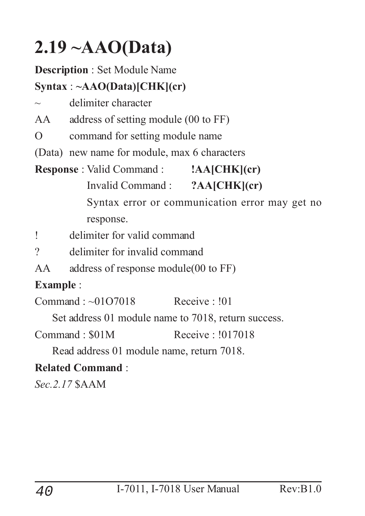### **2.19 ~AAO(Data)**

#### **Description** : Set Module Name

#### **Syntax** : **~AAO(Data)[CHK](cr)**

delimiter character

AA address of setting module (00 to FF)

O command for setting module name

(Data) new name for module, max 6 characters

#### **Response** : Valid Command : **!AA[CHK](cr)**

Invalid Command : **?AA[CHK](cr)**

Syntax error or communication error may get no response.

! delimiter for valid command

- ? delimiter for invalid command
- AA address of response module(00 to FF)

#### **Example** :

Command : ~01O7018 Receive : !01

Set address 01 module name to 7018, return success.

Command : \$01M Receive : !017018

Read address 01 module name, return 7018.

#### **Related Command** :

*Sec.2.17* \$AAM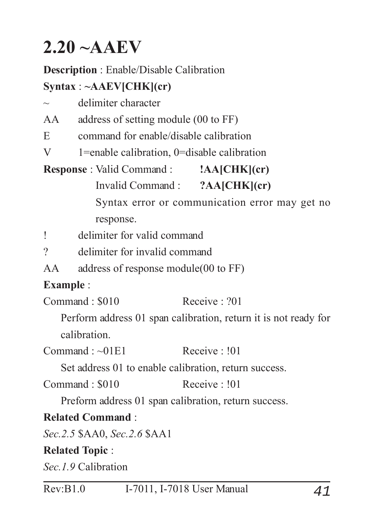### **2.20 ~AAEV**

#### **Description** : Enable/Disable Calibration

#### **Syntax** : **~AAEV[CHK](cr)**

| delimiter character |
|---------------------|
|                     |

AA address of setting module (00 to FF)

E command for enable/disable calibration

V 1=enable calibration, 0=disable calibration

**Response** : Valid Command : **!AA[CHK](cr)**

Invalid Command : **?AA[CHK](cr)**

Syntax error or communication error may get no response.

! delimiter for valid command

? delimiter for invalid command

AA address of response module(00 to FF)

#### **Example** :

 $Commonard \cdot $010$  Receive  $.201$ 

Perform address 01 span calibration, return it is not ready for calibration.

 $Commonard \cdot \sim 01E1$  Receive  $\cdot 101$ 

Set address 01 to enable calibration, return success.

Command : \$010 Receive : !01

Preform address 01 span calibration, return success.

#### **Related Command** :

*Sec.2.5* \$AA0, *Sec.2.6* \$AA1

#### **Related Topic** :

*Sec.1.9* Calibration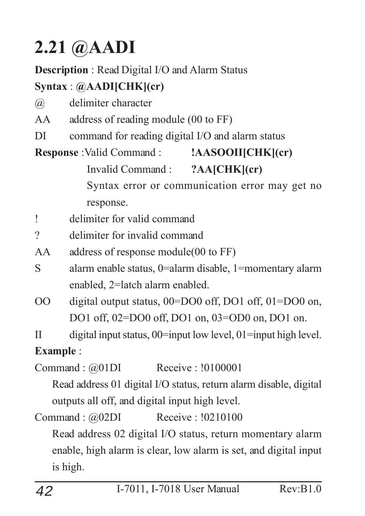### **2.21 @AADI**

#### **Description** : Read Digital I/O and Alarm Status

#### **Syntax** : **@AADI[CHK](cr)**

- @ delimiter character
- AA address of reading module (00 to FF)
- DI command for reading digital I/O and alarm status

#### **Response** :Valid Command : **!AASOOII[CHK](cr)** Invalid Command : **?AA[CHK](cr)** Syntax error or communication error may get no response.

- ! delimiter for valid command
- ? delimiter for invalid command
- AA address of response module(00 to FF)
- S alarm enable status, 0=alarm disable, 1=momentary alarm enabled, 2=latch alarm enabled.
- OO digital output status, 00=DO0 off, DO1 off, 01=DO0 on, DO1 off, 02=DO0 off, DO1 on, 03=OD0 on, DO1 on.
- II digital input status, 00=input low level, 01=input high level.

#### **Example** :

Command : @01DI Receive : !0100001

Read address 01 digital I/O status, return alarm disable, digital outputs all off, and digital input high level.

Command : @02DI Receive : !0210100

Read address 02 digital I/O status, return momentary alarm enable, high alarm is clear, low alarm is set, and digital input is high.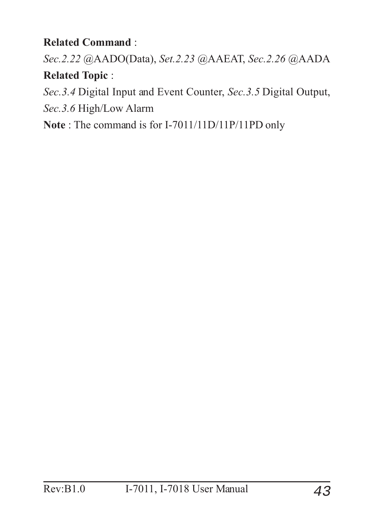#### **Related Command** :

*Sec.2.22* @AADO(Data), *Set.2.23* @AAEAT, *Sec.2.26* @AADA **Related Topic** :

*Sec.3.4* Digital Input and Event Counter, *Sec.3.5* Digital Output,

*Sec.3.6* High/Low Alarm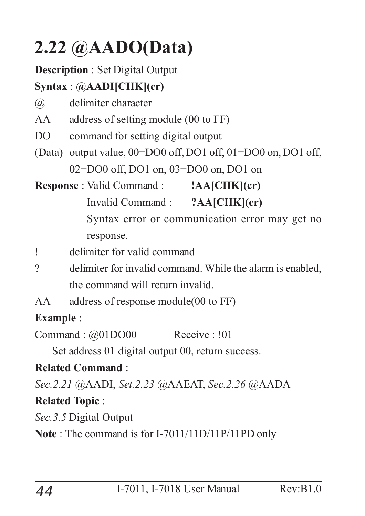### **2.22 @AADO(Data)**

#### **Description** : Set Digital Output

#### **Syntax** : **@AADI[CHK](cr)**

- @ delimiter character
- AA address of setting module (00 to FF)
- DO command for setting digital output
- (Data) output value, 00=DO0 off, DO1 off, 01=DO0 on, DO1 off, 02=DO0 off, DO1 on, 03=DO0 on, DO1 on
- **Response** : Valid Command : **!AA[CHK](cr)**
	- Invalid Command : **?AA[CHK](cr)**

Syntax error or communication error may get no response.

- ! delimiter for valid command
- ? delimiter for invalid command. While the alarm is enabled, the command will return invalid.
- AA address of response module(00 to FF)

#### **Example** :

Command :  $@01DO00$  Receive : !01

Set address 01 digital output 00, return success.

#### **Related Command** :

*Sec.2.21* @AADI, *Set.2.23* @AAEAT, *Sec.2.26* @AADA

#### **Related Topic** :

*Sec.3.5* Digital Output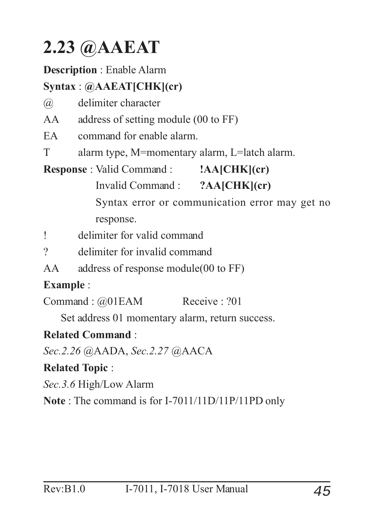### **2.23 @AAEAT**

#### **Description** : Enable Alarm

#### **Syntax** : **@AAEAT[CHK](cr)**

@ delimiter character

AA address of setting module (00 to FF)

EA command for enable alarm.

T alarm type, M=momentary alarm, L=latch alarm.

**Response** : Valid Command : **!AA[CHK](cr)**

Invalid Command : **?AA[CHK](cr)**

Syntax error or communication error may get no response.

! delimiter for valid command

? delimiter for invalid command

AA address of response module(00 to FF)

#### **Example** :

Command : @01EAM Receive : ?01

Set address 01 momentary alarm, return success.

#### **Related Command** :

*Sec.2.26* @AADA, *Sec.2.27* @AACA

#### **Related Topic** :

*Sec.3.6* High/Low Alarm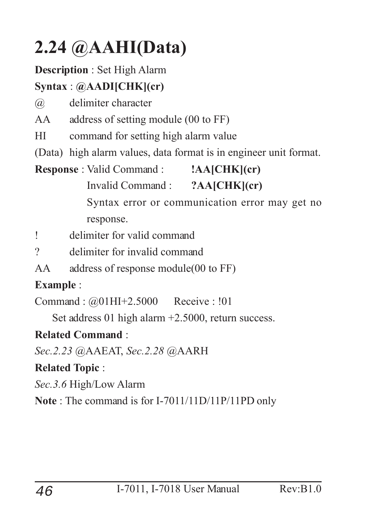### **2.24 @AAHI(Data)**

#### **Description** : Set High Alarm

#### **Syntax** : **@AADI[CHK](cr)**

@ delimiter character

AA address of setting module (00 to FF)

HI command for setting high alarm value

(Data) high alarm values, data format is in engineer unit format.

#### **Response** : Valid Command : **!AA[CHK](cr)**

Invalid Command : **?AA[CHK](cr)**

Syntax error or communication error may get no response.

! delimiter for valid command

- ? delimiter for invalid command
- AA address of response module(00 to FF)

#### **Example** :

Command : @01HI+2.5000 Receive : !01

Set address 01 high alarm +2.5000, return success.

#### **Related Command** :

*Sec.2.23* @AAEAT, *Sec.2.28* @AARH

#### **Related Topic** :

*Sec.3.6* High/Low Alarm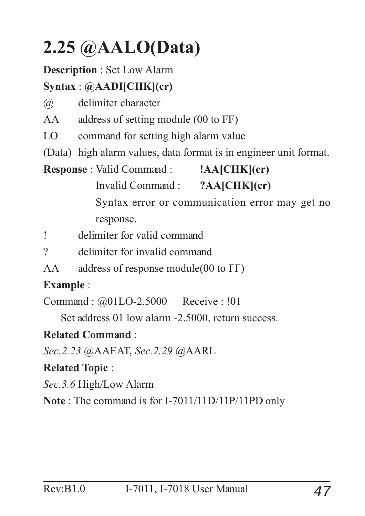### **2.25 @AALO(Data)**

#### **Description** : Set Low Alarm

#### **Syntax** : **@AADI[CHK](cr)**

@ delimiter character

AA address of setting module (00 to FF)

- LO command for setting high alarm value
- (Data) high alarm values, data format is in engineer unit format.
- **Response** : Valid Command : **!AA[CHK](cr)**

Invalid Command : **?AA[CHK](cr)**

Syntax error or communication error may get no response.

! delimiter for valid command

- ? delimiter for invalid command
- AA address of response module(00 to FF)

#### **Example** :

Command : @01LO-2.5000 Receive : !01

Set address 01 low alarm -2.5000, return success.

#### **Related Command** :

*Sec.2.23* @AAEAT, *Sec.2.29* @AARL

#### **Related Topic** :

*Sec.3.6* High/Low Alarm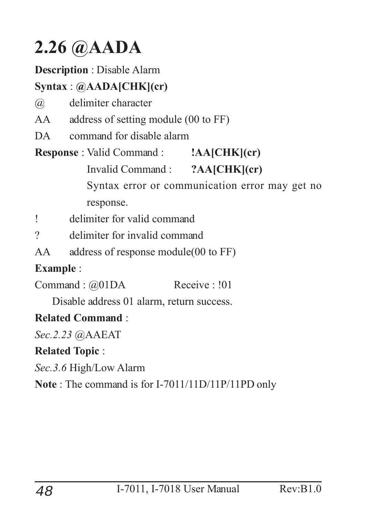### **2.26 @AADA**

#### **Description** : Disable Alarm

#### **Syntax** : **@AADA[CHK](cr)**

- @ delimiter character
- AA address of setting module (00 to FF)
- DA command for disable alarm

#### **Response** : Valid Command : **!AA[CHK](cr)** Invalid Command : **?AA[CHK](cr)** Syntax error or communication error may get no

response.

- ! delimiter for valid command
- ? delimiter for invalid command
- AA address of response module(00 to FF)

#### **Example** :

Command : @01DA Receive : !01

Disable address 01 alarm, return success.

#### **Related Command** :

*Sec.2.23* @AAEAT

#### **Related Topic** :

*Sec.3.6* High/Low Alarm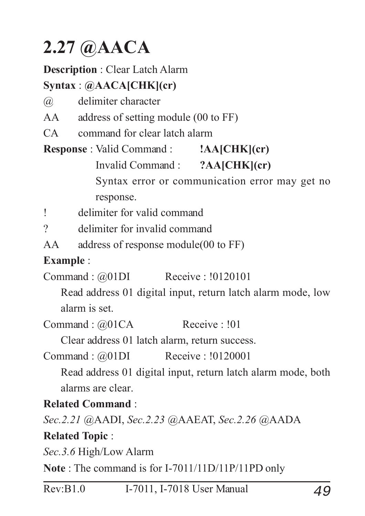### **2.27 @AACA**

#### **Description** : Clear Latch Alarm

#### **Syntax** : **@AACA[CHK](cr)**

- @ delimiter character
- AA address of setting module (00 to FF)
- CA command for clear latch alarm

**Response** : Valid Command : **!AA[CHK](cr)**

Invalid Command : **?AA[CHK](cr)**

Syntax error or communication error may get no response.

! delimiter for valid command

? delimiter for invalid command

AA address of response module(00 to FF)

#### **Example** :

Command : @01DI Receive : !0120101

Read address 01 digital input, return latch alarm mode, low alarm is set.

Command :  $@01CA$  Receive : !01

Clear address 01 latch alarm, return success.

Command : @01DI Receive : !0120001

Read address 01 digital input, return latch alarm mode, both alarms are clear.

#### **Related Command** :

*Sec.2.21* @AADI, *Sec.2.23* @AAEAT, *Sec.2.26* @AADA **Related Topic** :

*Sec.3.6* High/Low Alarm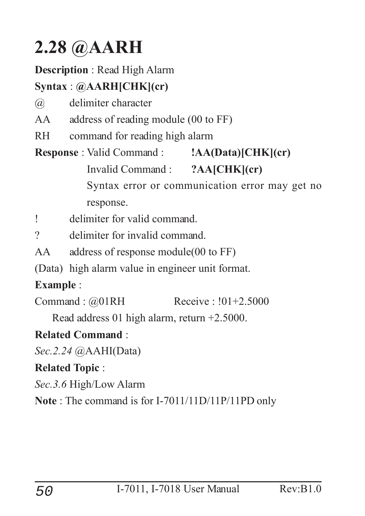### **2.28 @AARH**

#### **Description** : Read High Alarm

#### **Syntax** : **@AARH[CHK](cr)**

- @ delimiter character
- AA address of reading module (00 to FF)
- RH command for reading high alarm

#### **Response** : Valid Command : **!AA(Data)[CHK](cr)** Invalid Command : **?AA[CHK](cr)** Syntax error or communication error may get no response.

! delimiter for valid command.

? delimiter for invalid command.

AA address of response module(00 to FF)

(Data) high alarm value in engineer unit format.

#### **Example** :

Command : @01RH Receive : !01+2.5000

Read address 01 high alarm, return +2.5000.

#### **Related Command** :

*Sec.2.24* @AAHI(Data)

#### **Related Topic** :

*Sec.3.6* High/Low Alarm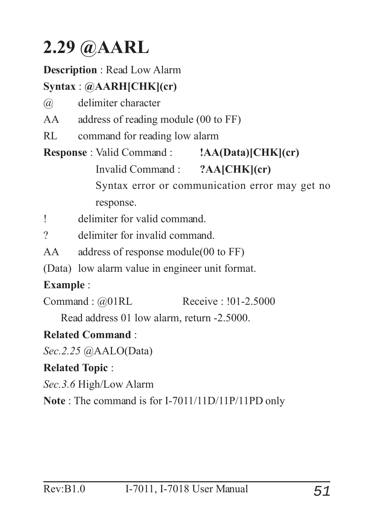### **2.29 @AARL**

#### **Description** : Read Low Alarm

#### **Syntax** : **@AARH[CHK](cr)**

- @ delimiter character
- AA address of reading module (00 to FF)
- RL command for reading low alarm

**Response** : Valid Command : **!AA(Data)[CHK](cr)** Invalid Command : **?AA[CHK](cr)** Syntax error or communication error may get no response.

! delimiter for valid command.

? delimiter for invalid command.

AA address of response module(00 to FF)

(Data) low alarm value in engineer unit format.

#### **Example** :

Command : @01RL Receive : !01-2.5000

Read address 01 low alarm, return -2.5000.

#### **Related Command** :

*Sec.2.25* @AALO(Data)

#### **Related Topic** :

*Sec.3.6* High/Low Alarm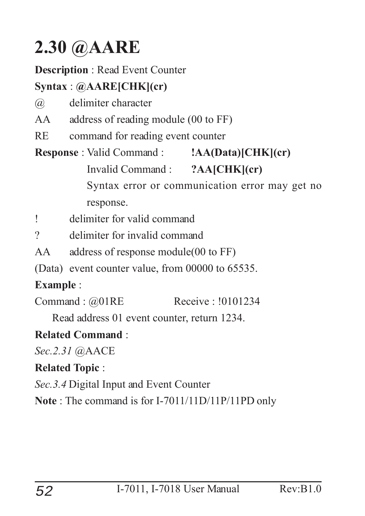### **2.30 @AARE**

#### **Description** : Read Event Counter

#### **Syntax** : **@AARE[CHK](cr)**

- @ delimiter character
- AA address of reading module (00 to FF)
- RE command for reading event counter

#### **Response** : Valid Command : **!AA(Data)[CHK](cr)** Invalid Command : **?AA[CHK](cr)** Syntax error or communication error may get no response.

! delimiter for valid command

? delimiter for invalid command

AA address of response module(00 to FF)

(Data) event counter value, from 00000 to 65535.

#### **Example** :

Command : @01RE Receive : !0101234

Read address 01 event counter, return 1234.

#### **Related Command** :

*Sec.2.31* @AACE

#### **Related Topic** :

*Sec.3.4* Digital Input and Event Counter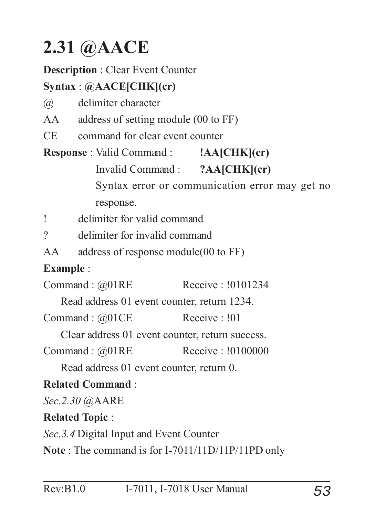### **2.31 @AACE**

#### **Description** : Clear Event Counter

#### **Syntax** : **@AACE[CHK](cr)**

- @ delimiter character
- AA address of setting module (00 to FF)
- CE command for clear event counter

**Response** : Valid Command : **!AA[CHK](cr)** Invalid Command : **?AA[CHK](cr)** Syntax error or communication error may get no response.

! delimiter for valid command

? delimiter for invalid command

AA address of response module(00 to FF)

#### **Example** :

Command : @01RE Receive : !0101234

Read address 01 event counter, return 1234.

Command :  $@01CE$  Receive : !01

Clear address 01 event counter, return success.

Command : @01RE Receive : !0100000

Read address 01 event counter, return 0.

#### **Related Command** :

*Sec.2.30* @AARE

#### **Related Topic** :

*Sec.3.4* Digital Input and Event Counter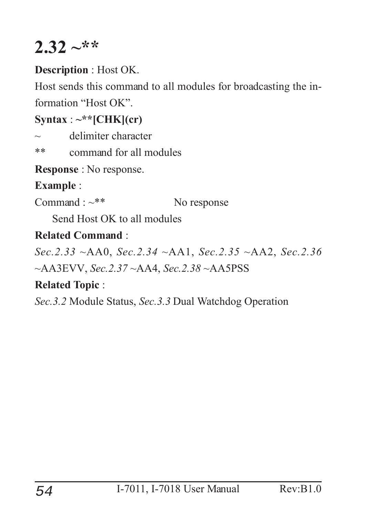### $2.32 -$ \*\*

#### **Description** : Host OK.

Host sends this command to all modules for broadcasting the information "Host OK".

#### $\text{Syntax}: \sim^* \text{[CHK]}(\text{cr})$

 $\sim$  delimiter character

\*\* command for all modules

**Response** : No response.

#### **Example** :

Command :  $\sim$ \*\* No response

Send Host OK to all modules

#### **Related Command** :

*Sec.2.33* ~AA0, *Sec.2.34* ~AA1, *Sec.2.35* ~AA2, *Sec.2.36*

~AA3EVV, *Sec.2.37* ~AA4, *Sec.2.38* ~AA5PSS

#### **Related Topic** :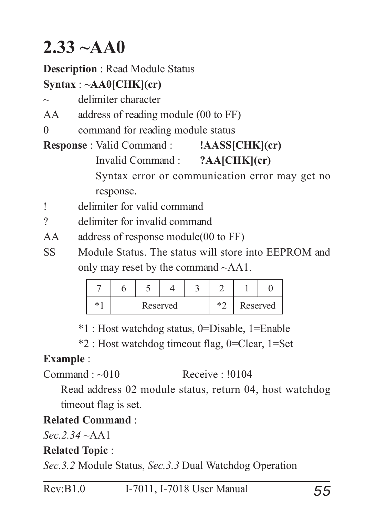### **2.33 ~AA0**

#### **Description** : Read Module Status

#### **Syntax** : **~AA0[CHK](cr)**

- delimiter character
- AA address of reading module (00 to FF)
- 0 command for reading module status
- **Response** : Valid Command : **!AASS[CHK](cr)** Invalid Command : **?AA[CHK](cr)** Syntax error or communication error may get no response.
- ! delimiter for valid command
- ? delimiter for invalid command
- AA address of response module(00 to FF)
- SS Module Status. The status will store into EEPROM and only may reset by the command ~AA1.

| $\ast$ | Reserved |  |  | $*\cap$ | Reserved |  |
|--------|----------|--|--|---------|----------|--|

\*1 : Host watchdog status, 0=Disable, 1=Enable

\*2 : Host watchdog timeout flag, 0=Clear, 1=Set

#### **Example** :

 $Commonard \cdot \sim 010$  Receive  $\cdot 10104$ 

Read address 02 module status, return 04, host watchdog timeout flag is set.

#### **Related Command** :

*Sec.2.34* ~AA1

#### **Related Topic** :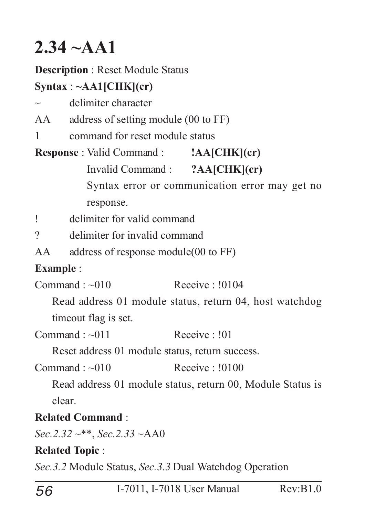### **2.34 ~AA1**

**Description** : Reset Module Status

#### **Syntax** : **~AA1[CHK](cr)**

- $\sim$  delimiter character
- AA address of setting module (00 to FF)
- 1 command for reset module status

|  | <b>Response: Valid Command:</b> | $ AA CHK $ (cr) |
|--|---------------------------------|-----------------|
|  |                                 | _____________   |

```
Invalid Command : ?AA[CHK](cr)
```
Syntax error or communication error may get no response.

! delimiter for valid command

? delimiter for invalid command

```
AA address of response module(00 to FF)
```
#### **Example** :

 $Commonad : ~010$  Receive :  $10104$ 

Read address 01 module status, return 04, host watchdog timeout flag is set.

 $Common and \cdot \sim 011$  Receive  $\cdot 101$ 

Reset address 01 module status, return success.

```
Commonard : ~010 Receive : 10100
```
Read address 01 module status, return 00, Module Status is clear.

#### **Related Command** :

*Sec.2.32* ~\*\*, *Sec.2.33* ~AA0

#### **Related Topic** :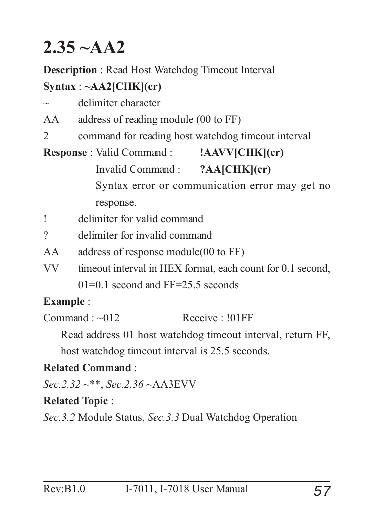### **2.35 ~AA2**

**Description** : Read Host Watchdog Timeout Interval

#### **Syntax** : **~AA2[CHK](cr)**

| $\sim$ | delimiter character |  |
|--------|---------------------|--|
|        |                     |  |

- AA address of reading module (00 to FF)
- 2 command for reading host watchdog timeout interval

### **Response** : Valid Command : **!AAVV[CHK](cr)** Invalid Command : **?AA[CHK](cr)**

Syntax error or communication error may get no response.

- ! delimiter for valid command
- ? delimiter for invalid command
- AA address of response module(00 to FF)
- VV timeout interval in HEX format, each count for 0.1 second,  $01=0.1$  second and FF=25.5 seconds

#### **Example** :

 $Common and : ~012$  Receive :  $101FF$ 

Read address 01 host watchdog timeout interval, return FF,

host watchdog timeout interval is 25.5 seconds.

#### **Related Command** :

*Sec.2.32* ~\*\*, *Sec.2.36* ~AA3EVV

#### **Related Topic** :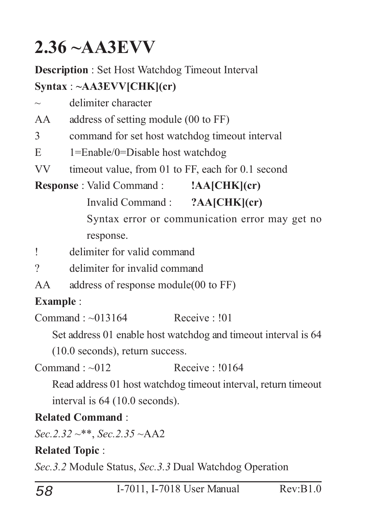### **2.36 ~AA3EVV**

**Description** : Set Host Watchdog Timeout Interval **Syntax** : **~AA3EVV[CHK](cr)**

 $\sim$  delimiter character

AA address of setting module (00 to FF)

- 3 command for set host watchdog timeout interval
- E 1=Enable/0=Disable host watchdog
- VV timeout value, from 01 to FF, each for 0.1 second

**Response** : Valid Command : **!AA[CHK](cr)**

Invalid Command : **?AA[CHK](cr)**

Syntax error or communication error may get no response.

! delimiter for valid command

- ? delimiter for invalid command
- AA address of response module(00 to FF)

#### **Example** :

 $Commonad : ~013164$  Receive : 101

Set address 01 enable host watchdog and timeout interval is 64

(10.0 seconds), return success.

 $Common and  $\sim 012$  *Receive*  $\sim 10164$$ 

Read address 01 host watchdog timeout interval, return timeout interval is 64 (10.0 seconds).

#### **Related Command** :

*Sec.2.32* ~\*\*, *Sec.2.35* ~AA2

#### **Related Topic** :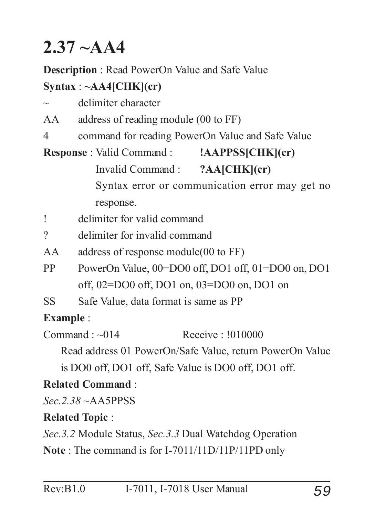### **2.37 ~AA4**

**Description** : Read PowerOn Value and Safe Value

#### **Syntax** : **~AA4[CHK](cr)**

| $\sim$                                         | delimiter character                                      |  |  |  |  |  |
|------------------------------------------------|----------------------------------------------------------|--|--|--|--|--|
| AA                                             | address of reading module (00 to FF)                     |  |  |  |  |  |
| 4                                              | command for reading PowerOn Value and Safe Value         |  |  |  |  |  |
|                                                | <b>Response</b> : Valid Command: <b>AAPPSS(CHK)</b> (cr) |  |  |  |  |  |
|                                                | Invalid Command : ?AA[CHK](cr)                           |  |  |  |  |  |
| Syntax error or communication error may get no |                                                          |  |  |  |  |  |
|                                                | response.                                                |  |  |  |  |  |
|                                                | delimiter for valid command                              |  |  |  |  |  |
| $\gamma$                                       | delimiter for invalid command                            |  |  |  |  |  |
|                                                |                                                          |  |  |  |  |  |

AA address of response module(00 to FF)

- PP PowerOn Value,  $00 = DO0$  off, DO1 off, 01=DO0 on, DO1 off, 02=DO0 off, DO1 on, 03=DO0 on, DO1 on
- SS Safe Value, data format is same as PP

#### **Example** :

 $Common<sub>14</sub> <sup>14</sup> <sup>16</sup> <sup>1010000</sup>$ 

Read address 01 PowerOn/Safe Value, return PowerOn Value

is DO0 off, DO1 off, Safe Value is DO0 off, DO1 off.

#### **Related Command** :

*Sec.2.38* ~AA5PPSS

#### **Related Topic** :

*Sec.3.2* Module Status, *Sec.3.3* Dual Watchdog Operation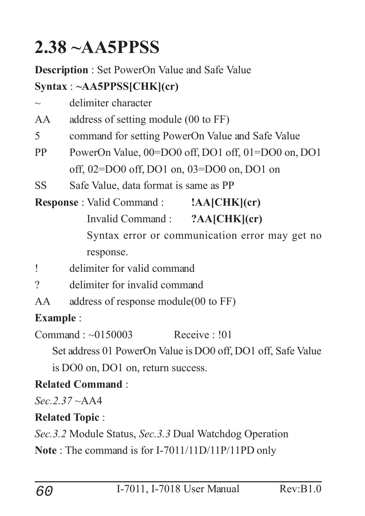### **2.38 ~AA5PPSS**

**Description** : Set PowerOn Value and Safe Value

#### **Syntax** : **~AA5PPSS[CHK](cr)**

 $\sim$  delimiter character

AA address of setting module (00 to FF)

- 5 command for setting PowerOn Value and Safe Value
- PP PowerOn Value,  $00=DO0$  off, DO1 off, 01=DO0 on, DO1 off, 02=DO0 off, DO1 on, 03=DO0 on, DO1 on
- SS Safe Value, data format is same as PP

**Response** : Valid Command : **!AA[CHK](cr)** Invalid Command : **?AA[CHK](cr)** Syntax error or communication error may get no response.

- ! delimiter for valid command
- ? delimiter for invalid command
- AA address of response module(00 to FF)

#### **Example** :

 $Commonad \cdot \sim 0150003$  Receive  $\cdot 101$ 

Set address 01 PowerOn Value is DO0 off, DO1 off, Safe Value

is DO0 on, DO1 on, return success.

#### **Related Command** :

*Sec.2.37* ~AA4

#### **Related Topic** :

*Sec.3.2* Module Status, *Sec.3.3* Dual Watchdog Operation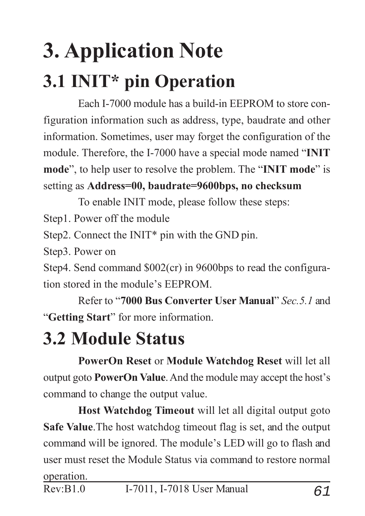# **3. Application Note 3.1 INIT\* pin Operation**

Each I-7000 module has a build-in EEPROM to store configuration information such as address, type, baudrate and other information. Sometimes, user may forget the configuration of the module. Therefore, the I-7000 have a special mode named "**INIT mode**", to help user to resolve the problem. The "**INIT mode**" is setting as **Address=00, baudrate=9600bps, no checksum**

To enable INIT mode, please follow these steps:

Step1. Power off the module

Step2. Connect the INIT\* pin with the GND pin.

Step3. Power on

Step4. Send command \$002(cr) in 9600bps to read the configuration stored in the module's EEPROM.

Refer to "**7000 Bus Converter User Manual**" *Sec.5.1* and "**Getting Start**" for more information.

### **3.2 Module Status**

**PowerOn Reset** or **Module Watchdog Reset** will let all output goto **PowerOn Value**. And the module may accept the host's command to change the output value.

**Host Watchdog Timeout** will let all digital output goto **Safe Value**.The host watchdog timeout flag is set, and the output command will be ignored. The module's LED will go to flash and user must reset the Module Status via command to restore normal operation.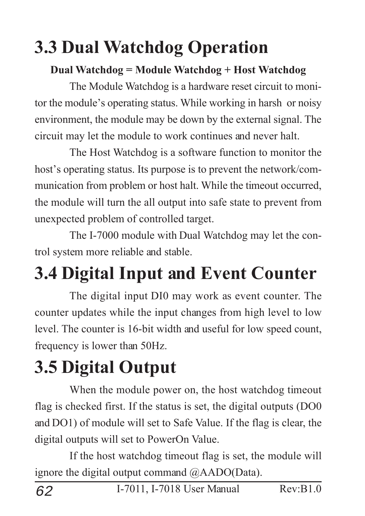### **3.3 Dual Watchdog Operation**

#### **Dual Watchdog = Module Watchdog + Host Watchdog**

The Module Watchdog is a hardware reset circuit to monitor the module's operating status. While working in harsh or noisy environment, the module may be down by the external signal. The circuit may let the module to work continues and never halt.

The Host Watchdog is a software function to monitor the host's operating status. Its purpose is to prevent the network/communication from problem or host halt. While the timeout occurred, the module will turn the all output into safe state to prevent from unexpected problem of controlled target.

The I-7000 module with Dual Watchdog may let the control system more reliable and stable.

## **3.4 Digital Input and Event Counter**

The digital input DI0 may work as event counter. The counter updates while the input changes from high level to low level. The counter is 16-bit width and useful for low speed count, frequency is lower than 50Hz.

### **3.5 Digital Output**

When the module power on, the host watchdog timeout flag is checked first. If the status is set, the digital outputs (DO0 and DO1) of module will set to Safe Value. If the flag is clear, the digital outputs will set to PowerOn Value.

If the host watchdog timeout flag is set, the module will ignore the digital output command @AADO(Data).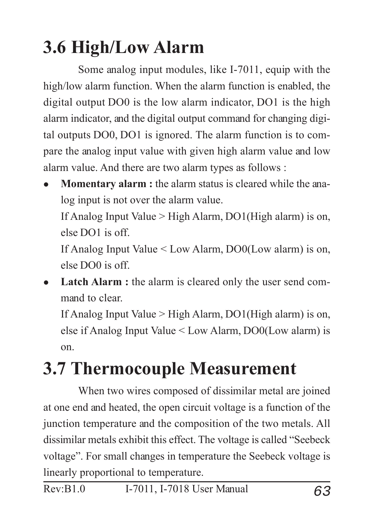### **3.6 High/Low Alarm**

Some analog input modules, like I-7011, equip with the high/low alarm function. When the alarm function is enabled, the digital output DO0 is the low alarm indicator, DO1 is the high alarm indicator, and the digital output command for changing digital outputs DO0, DO1 is ignored. The alarm function is to compare the analog input value with given high alarm value and low alarm value. And there are two alarm types as follows :

**Momentary alarm :** the alarm status is cleared while the analog input is not over the alarm value. If Analog Input Value > High Alarm, DO1(High alarm) is on, else DO1 is off.

If Analog Input Value < Low Alarm, DO0(Low alarm) is on, else DO0 is off.

Latch Alarm : the alarm is cleared only the user send command to clear.

If Analog Input Value > High Alarm, DO1(High alarm) is on, else if Analog Input Value < Low Alarm, DO0(Low alarm) is on.

### **3.7 Thermocouple Measurement**

When two wires composed of dissimilar metal are joined at one end and heated, the open circuit voltage is a function of the junction temperature and the composition of the two metals. All dissimilar metals exhibit this effect. The voltage is called "Seebeck voltage". For small changes in temperature the Seebeck voltage is linearly proportional to temperature.